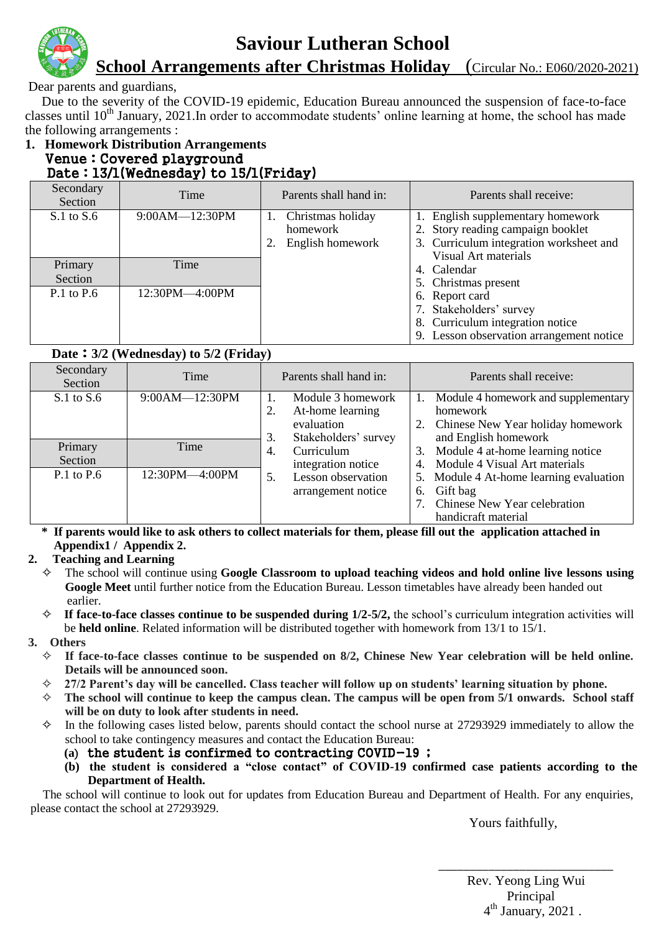

### **Saviour Lutheran School**

 **School Arrangements after Christmas Holiday** (Circular No.: E060/2020-2021)

Dear parents and guardians,

 Due to the severity of the COVID-19 epidemic, Education Bureau announced the suspension of face-to-face classes until  $10<sup>th</sup>$  January, 2021. In order to accommodate students' online learning at home, the school has made the following arrangements :

#### **1. Homework Distribution Arrangements** Venue:Covered playground Date:13/1(Wednesday) to 15/1(Friday)

**Date**:**3/2 (Wednesday) to 5/2 (Friday)** 

| Secondary<br>Section | Time               | Parents shall hand in:                            | Parents shall receive:                                                                                                                    |
|----------------------|--------------------|---------------------------------------------------|-------------------------------------------------------------------------------------------------------------------------------------------|
| $S.1$ to $S.6$       | $9:00AM - 12:30PM$ | Christmas holiday<br>homework<br>English homework | 1. English supplementary homework<br>2. Story reading campaign booklet<br>3. Curriculum integration worksheet and<br>Visual Art materials |
| Primary<br>Section   | Time               |                                                   | 4. Calendar<br>5. Christmas present                                                                                                       |
| $P.1$ to $P.6$       | 12:30PM-4:00PM     |                                                   | 6. Report card<br>7. Stakeholders' survey<br>8. Curriculum integration notice<br>9. Lesson observation arrangement notice                 |

| Secondary<br>Section | Time           | Parents shall hand in:                                                            | Parents shall receive:                                                                                             |
|----------------------|----------------|-----------------------------------------------------------------------------------|--------------------------------------------------------------------------------------------------------------------|
| $S.1$ to $S.6$       | 9:00AM-12:30PM | Module 3 homework<br>At-home learning<br>evaluation<br>Stakeholders' survey<br>3. | Module 4 homework and supplementary<br>homework<br>Chinese New Year holiday homework<br>2.<br>and English homework |
| Primary<br>Section   | Time           | Curriculum<br>4.<br>integration notice                                            | Module 4 at-home learning notice<br>3.<br>Module 4 Visual Art materials<br>4.                                      |
| $P.1$ to $P.6$       | 12:30PM-4:00PM | Lesson observation<br>5.<br>arrangement notice                                    | 5. Module 4 At-home learning evaluation<br>Gift bag<br>6.<br>Chinese New Year celebration<br>handicraft material   |

**\* If parents would like to ask others to collect materials for them, please fill out the application attached in Appendix1 / Appendix 2.** 

### **2. Teaching and Learning**

- ✧ The school will continue using **Google Classroom to upload teaching videos and hold online live lessons using Google Meet** until further notice from the Education Bureau. Lesson timetables have already been handed out earlier.
- ✧ **If face-to-face classes continue to be suspended during 1/2-5/2,** the school's curriculum integration activities will be **held online**. Related information will be distributed together with homework from 13/1 to 15/1.
- **3. Others**
	- ✧ **If face-to-face classes continue to be suspended on 8/2, Chinese New Year celebration will be held online. Details will be announced soon.**
	- ✧ **27/2 Parent's day will be cancelled. Class teacher will follow up on students' learning situation by phone.**
	- ✧ **The school will continue to keep the campus clean. The campus will be open from 5/1 onwards. School staff will be on duty to look after students in need.**
	- ✧ In the following cases listed below, parents should contact the school nurse at 27293929 immediately to allow the school to take contingency measures and contact the Education Bureau:
		- **(a**)the student is confirmed to contracting COVID-19 ;
		- **(b) the student is considered a "close contact" of COVID-19 confirmed case patients according to the Department of Health.**

The school will continue to look out for updates from Education Bureau and Department of Health. For any enquiries, please contact the school at 27293929.

 $\mathcal{L}_\mathcal{L} = \{ \mathcal{L}_\mathcal{L} \mid \mathcal{L}_\mathcal{L} \}$  , where  $\mathcal{L}_\mathcal{L} = \{ \mathcal{L}_\mathcal{L} \mid \mathcal{L}_\mathcal{L} \}$ 

Yours faithfully,

 Rev. Yeong Ling Wui Principal 4  $4^{\text{th}}$  January, 2021.